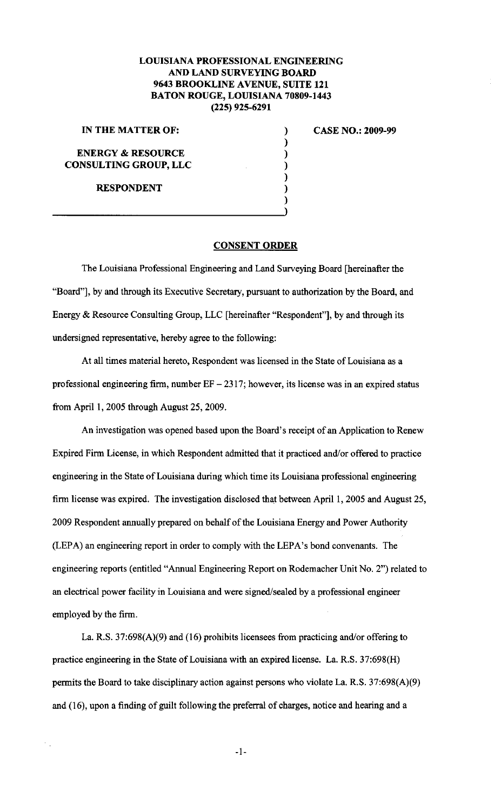## **LOUISIANA PROFESSIONAL ENGINEERING AND LAND SURVEYING BOARD 9643 BROOKLINE AVENUE, SUITE 121 BATON ROUGE, LOUISIANA 70809-1443 (225) 925-6291**

) ) ) ) ) ) )

**IN THE MATTER OF:** 

**ENERGY & RESOURCE CONSULTING GROUP, LLC** 

**RESPONDENT** 

**CASE NO.: 2009-99** 

## **CONSENT ORDER**

The Louisiana Professional Engineering and Land Surveying Board [hereinafter the "Board"], by and through its Executive Secretary, pursuant to authorization by the Board, and Energy & Resource Consulting Group, LLC [hereinafter "Respondent"], by and through its undersigned representative, hereby agree to the following:

At all times material hereto, Respondent was licensed in the State of Louisiana as a professional engineering firm, number  $EF - 2317$ ; however, its license was in an expired status from April 1, 2005 through August 25, 2009.

An investigation was opened based upon the Board's receipt of an Application to Renew Expired Firm License, in which Respondent admitted that it practiced and/or offered to practice engineering in the State of Louisiana during which time its Louisiana professional engineering firm license was expired. The investigation disclosed that between April 1, 2005 and August 25, 2009 Respondent annually prepared on behalf of the Louisiana Energy and Power Authority (LEPA) an engineering report in order to comply with the LEPA's bond convenants. The engineering reports (entitled "Annual Engineering Report on Rodemacher Unit No.2") related to an electrical power facility in Louisiana and were signed/sealed by a professional engineer employed by the firm.

La. R.S. 37:698(A)(9) and (16) prohibits licensees from practicing and/or offering to practice engineering in the State of Louisiana with an expired license. La. R.S. 37:698(H) permits the Board to take disciplinary action against persons who violate La. R.S. 37:698(A)(9) and (16), upon a finding of guilt following the preferral of charges, notice and hearing and a

-1-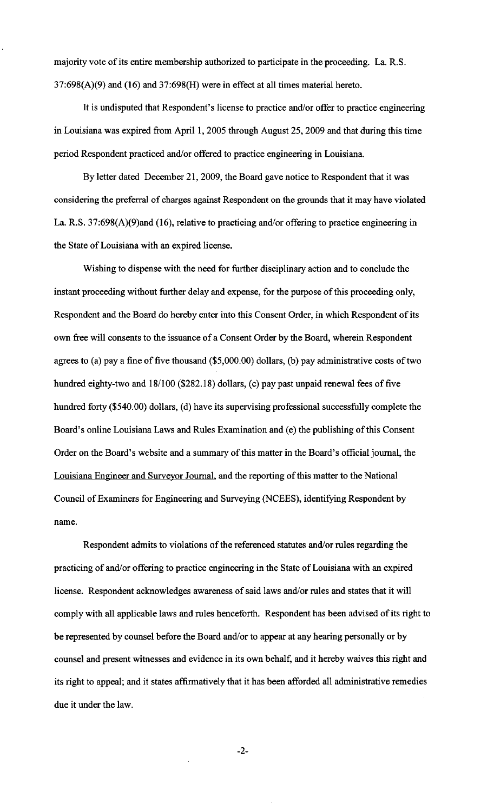majority vote of its entire membership authorized to participate in the proceeding. La. R.S. 37:698(A)(9) and (16) and 37:698(H) were in effect at all times material hereto.

It is undisputed that Respondent's license to practice and/or offer to practice engineering in Louisiana was expired from April 1, 2005 through August 25, 2009 and that during this time period Respondent practiced and/or offered to practice engineering in Louisiana.

By letter dated December 21, 2009, the Board gave notice to Respondent that it was considering the preferral of charges against Respondent on the grounds that it may have violated La. R.S. 37:698(A)(9)and (16), relative to practicing and/or offering to practice engineering in the State of Louisiana with an expired license.

Wishing to dispense with the need for further disciplinary action and to conclude the instant proceeding without further delay and expense, for the purpose of this proceeding only, Respondent and the Board do hereby enter into this Consent Order, in which Respondent of its own free will consents to the issuance of a Consent Order by the Board, wherein Respondent agrees to (a) pay a fine of five thousand (\$5,000.00) dollars, (b) pay administrative costs of two hundred eighty-two and 18/100 (\$282.18) dollars, (c) pay past unpaid renewal fees of five hundred forty (\$540.00) dollars, (d) have its supervising professional successfully complete the Board's online Louisiana Laws and Rules Examination and (e) the publishing of this Consent Order on the Board's website and a summary of this matter in the Board's official journal, the Louisiana Engineer and Surveyor Journal, and the reporting of this matter to the National Council of Examiners for Engineering and Surveying (NCEES), identifying Respondent by name.

Respondent admits to violations of the referenced statutes and/or rules regarding the practicing of and/or offering to practice engineering in the State of Louisiana with an expired license. Respondent acknowledges awareness of said laws and/or rules and states that it will comply with all applicable laws and rules henceforth. Respondent has been advised of its right to be represented by counsel before the Board and/or to appear at any hearing personally or by counsel and present witnesses and evidence in its own behalf, and it hereby waives this right and its right to appeal; and it states affirmatively that it has been afforded all administrative remedies due it under the law.

-2-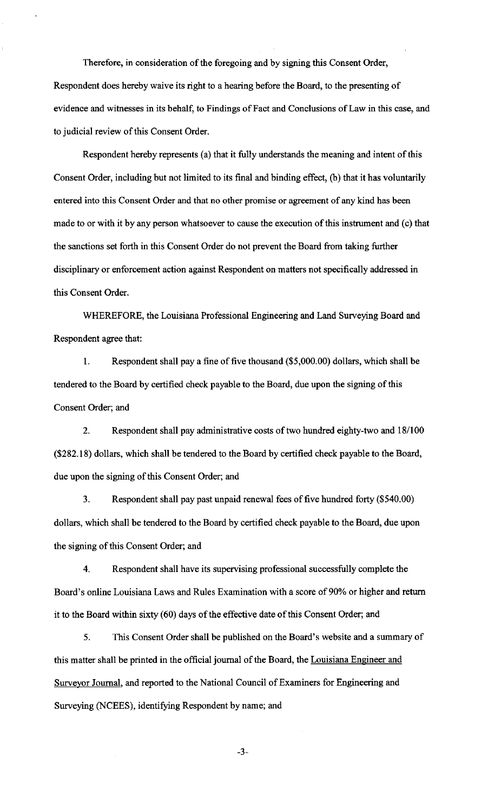Therefore, in consideration of the foregoing and by signing this Consent Order, Respondent does hereby waive its right to a hearing before the Board, to the presenting of evidence and witnesses in its behalf, to Findings of Fact and Conclusions of Law in this case, and to judicial review of this Consent Order.

Respondent hereby represents (a) that it fully understands the meaning and intent of this Consent Order, including but not limited to its final and binding effect, (b) that it has voluntarily entered into this Consent Order and that no other promise or agreement of any kind has been made to or with it by any person whatsoever to cause the execution of this instrument and (c) that the sanctions set forth in this Consent Order do not prevent the Board from taking further disciplinary or enforcement action against Respondent on matters not specifically addressed in this Consent Order.

WHEREFORE, the Louisiana Professional Engineering and Land Surveying Board and Respondent agree that:

I. Respondent shall pay a fine of five thousand (\$5,000.00) dollars, which shall be tendered to the Board by certified check payable to the Board, due upon the signing of this Consent Order; and

2. Respondent shall pay administrative costs of two hundred eighty-two and 18/100 (\$282.18) dollars, which shall be tendered to the Board by certified check payable to the Board, due upon the signing of this Consent Order; and

3. Respondent shall pay past unpaid renewal fees of five hundred forty (\$540.00) dollars, which shall be tendered to the Board by certified check payable to the Board, due upon the signing of this Consent Order; and

4. Respondent shall have its supervising professional successfully complete the Board's online Louisiana Laws and Rules Examination with a score of 90% or higher and return it to the Board within sixty (60) days of the effective date of this Consent Order; and

5. This Consent Order shall be published on the Board's website and a summary of this matter shall be printed in the official journal of the Board, the Louisiana Engineer and Surveyor Journal, and reported to the National Council of Examiners for Engineering and Surveying (NCEES), identifying Respondent by name; and

-3-